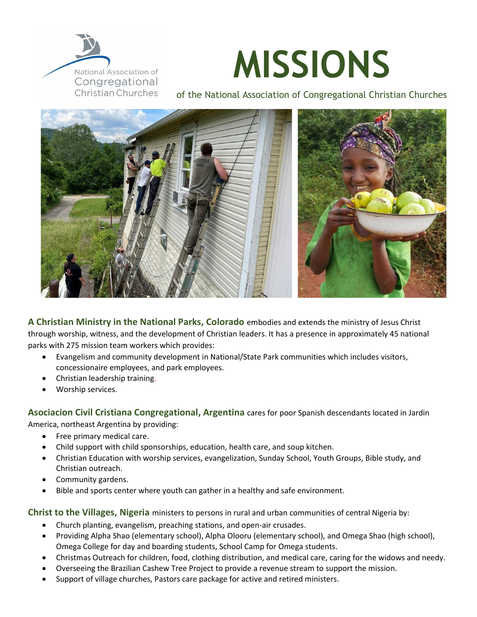

## **MISSIONS**

of the National Association of Congregational Christian Churches



**A Christian Ministry in the National Parks, Colorado** embodies and extends the ministry of Jesus Christ through worship, witness, and the development of Christian leaders. It has a presence in approximately 45 national parks with 275 mission team workers which provides:

- Evangelism and community development in National/State Park communities which includes visitors, concessionaire employees, and park employees.
- Christian leadership training.
- Worship services.

**Asociacion Civil Cristiana Congregational, Argentina** cares for poor Spanish descendants located in Jardin

America, northeast Argentina by providing:

- Free primary medical care.
- Child support with child sponsorships, education, health care, and soup kitchen.
- Christian Education with worship services, evangelization, Sunday School, Youth Groups, Bible study, and Christian outreach.
- Community gardens.
- Bible and sports center where youth can gather in a healthy and safe environment.

**Christ to the Villages, Nigeria** ministers to persons in rural and urban communities of central Nigeria by:

- Church planting, evangelism, preaching stations, and open-air crusades.
- Providing Alpha Shao (elementary school), Alpha Olooru (elementary school), and Omega Shao (high school), Omega College for day and boarding students, School Camp for Omega students.
- Christmas Outreach for children, food, clothing distribution, and medical care, caring for the widows and needy.
- Overseeing the Brazilian Cashew Tree Project to provide a revenue stream to support the mission.
- Support of village churches, Pastors care package for active and retired ministers.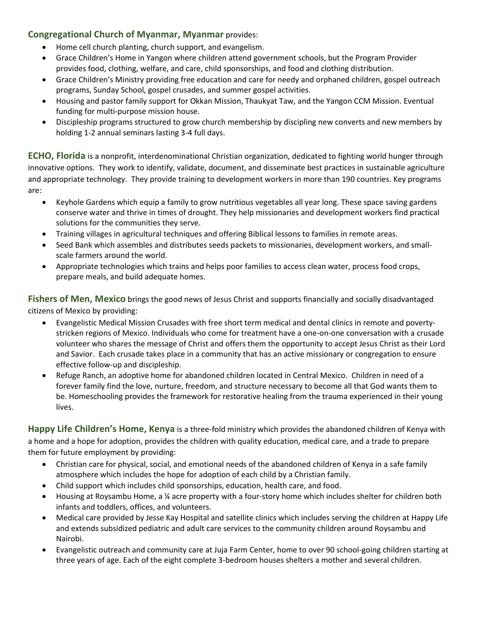## **Congregational Church of Myanmar, Myanmar** provides:

- Home cell church planting, church support, and evangelism.
- Grace Children's Home in Yangon where children attend government schools, but the Program Provider provides food, clothing, welfare, and care, child sponsorships, and food and clothing distribution.
- Grace Children's Ministry providing free education and care for needy and orphaned children, gospel outreach programs, Sunday School, gospel crusades, and summer gospel activities.
- Housing and pastor family support for Okkan Mission, Thaukyat Taw, and the Yangon CCM Mission. Eventual funding for multi-purpose mission house.
- Discipleship programs structured to grow church membership by discipling new converts and new members by holding 1-2 annual seminars lasting 3-4 full days.

**ECHO, Florida** is a nonprofit, interdenominational Christian organization, dedicated to fighting world hunger through innovative options. They work to identify, validate, document, and disseminate best practices in sustainable agriculture and appropriate technology. They provide training to development workers in more than 190 countries. Key programs are:

- Keyhole Gardens which equip a family to grow nutritious vegetables all year long. These space saving gardens conserve water and thrive in times of drought. They help missionaries and development workers find practical solutions for the communities they serve.
- Training villages in agricultural techniques and offering Biblical lessons to families in remote areas.
- Seed Bank which assembles and distributes seeds packets to missionaries, development workers, and smallscale farmers around the world.
- Appropriate technologies which trains and helps poor families to access clean water, process food crops, prepare meals, and build adequate homes.

**Fishers of Men, Mexico** brings the good news of Jesus Christ and supports financially and socially disadvantaged citizens of Mexico by providing:

- Evangelistic Medical Mission Crusades with free short term medical and dental clinics in remote and povertystricken regions of Mexico. Individuals who come for treatment have a one-on-one conversation with a crusade volunteer who shares the message of Christ and offers them the opportunity to accept Jesus Christ as their Lord and Savior. Each crusade takes place in a community that has an active missionary or congregation to ensure effective follow-up and discipleship.
- Refuge Ranch, an adoptive home for abandoned children located in Central Mexico. Children in need of a forever family find the love, nurture, freedom, and structure necessary to become all that God wants them to be. Homeschooling provides the framework for restorative healing from the trauma experienced in their young lives.

**Happy Life Children's Home, Kenya** is a three-fold ministry which provides the abandoned children of Kenya with a home and a hope for adoption, provides the children with quality education, medical care, and a trade to prepare them for future employment by providing:

- Christian care for physical, social, and emotional needs of the abandoned children of Kenya in a safe family atmosphere which includes the hope for adoption of each child by a Christian family.
- Child support which includes child sponsorships, education, health care, and food.
- Housing at Roysambu Home, a ¼ acre property with a four-story home which includes shelter for children both infants and toddlers, offices, and volunteers.
- Medical care provided by Jesse Kay Hospital and satellite clinics which includes serving the children at Happy Life and extends subsidized pediatric and adult care services to the community children around Roysambu and Nairobi.
- Evangelistic outreach and community care at Juja Farm Center, home to over 90 school-going children starting at three years of age. Each of the eight complete 3-bedroom houses shelters a mother and several children.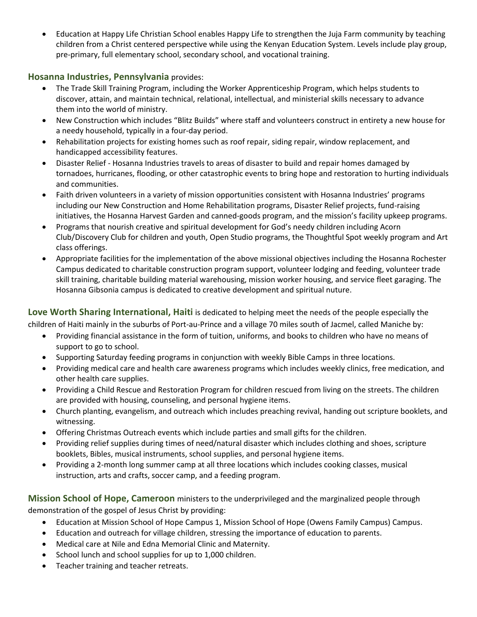• Education at Happy Life Christian School enables Happy Life to strengthen the Juja Farm community by teaching children from a Christ centered perspective while using the Kenyan Education System. Levels include play group, pre-primary, full elementary school, secondary school, and vocational training.

## **Hosanna Industries, Pennsylvania** provides:

- The Trade Skill Training Program, including the Worker Apprenticeship Program, which helps students to discover, attain, and maintain technical, relational, intellectual, and ministerial skills necessary to advance them into the world of ministry.
- New Construction which includes "Blitz Builds" where staff and volunteers construct in entirety a new house for a needy household, typically in a four-day period.
- Rehabilitation projects for existing homes such as roof repair, siding repair, window replacement, and handicapped accessibility features.
- Disaster Relief Hosanna Industries travels to areas of disaster to build and repair homes damaged by tornadoes, hurricanes, flooding, or other catastrophic events to bring hope and restoration to hurting individuals and communities.
- Faith driven volunteers in a variety of mission opportunities consistent with Hosanna Industries' programs including our New Construction and Home Rehabilitation programs, Disaster Relief projects, fund-raising initiatives, the Hosanna Harvest Garden and canned-goods program, and the mission's facility upkeep programs.
- Programs that nourish creative and spiritual development for God's needy children including Acorn Club/Discovery Club for children and youth, Open Studio programs, the Thoughtful Spot weekly program and Art class offerings.
- Appropriate facilities for the implementation of the above missional objectives including the Hosanna Rochester Campus dedicated to charitable construction program support, volunteer lodging and feeding, volunteer trade skill training, charitable building material warehousing, mission worker housing, and service fleet garaging. The Hosanna Gibsonia campus is dedicated to creative development and spiritual nuture.

**Love Worth Sharing International, Haiti** is dedicated to helping meet the needs of the people especially the children of Haiti mainly in the suburbs of Port-au-Prince and a village 70 miles south of Jacmel, called Maniche by:

- Providing financial assistance in the form of tuition, uniforms, and books to children who have no means of support to go to school.
- Supporting Saturday feeding programs in conjunction with weekly Bible Camps in three locations.
- Providing medical care and health care awareness programs which includes weekly clinics, free medication, and other health care supplies.
- Providing a Child Rescue and Restoration Program for children rescued from living on the streets. The children are provided with housing, counseling, and personal hygiene items.
- Church planting, evangelism, and outreach which includes preaching revival, handing out scripture booklets, and witnessing.
- Offering Christmas Outreach events which include parties and small gifts for the children.
- Providing relief supplies during times of need/natural disaster which includes clothing and shoes, scripture booklets, Bibles, musical instruments, school supplies, and personal hygiene items.
- Providing a 2-month long summer camp at all three locations which includes cooking classes, musical instruction, arts and crafts, soccer camp, and a feeding program.

**Mission School of Hope, Cameroon** ministers to the underprivileged and the marginalized people through demonstration of the gospel of Jesus Christ by providing:

- Education at Mission School of Hope Campus 1, Mission School of Hope (Owens Family Campus) Campus.
- Education and outreach for village children, stressing the importance of education to parents.
- Medical care at Nile and Edna Memorial Clinic and Maternity.
- School lunch and school supplies for up to 1,000 children.
- Teacher training and teacher retreats.